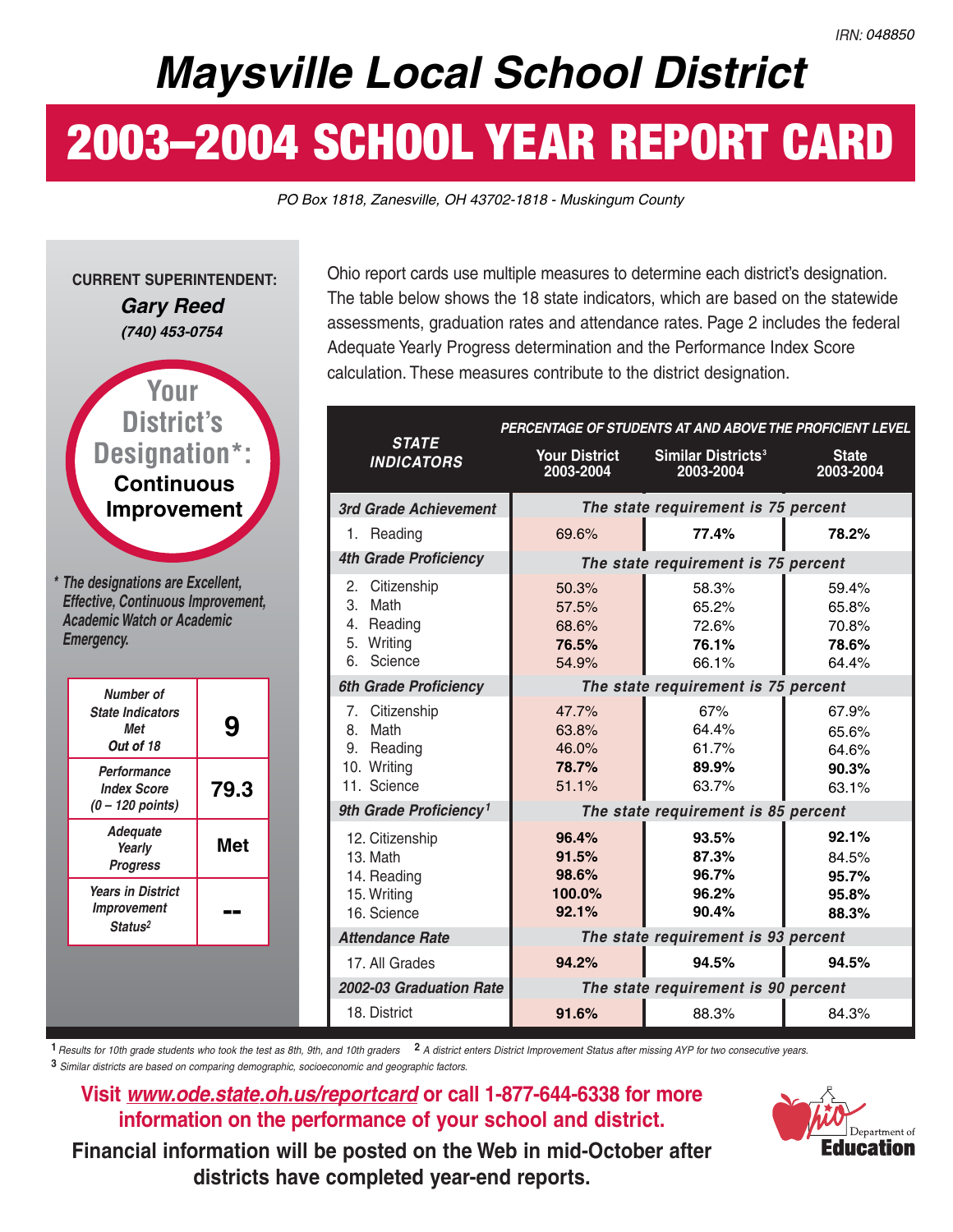## **Maysville Local School District**

# **2003–2004 SCHOOL YEAR REPORT CARD**

PO Box 1818, Zanesville, OH 43702-1818 - Muskingum County



Ohio report cards use multiple measures to determine each district's designation. The table below shows the 18 state indicators, which are based on the statewide assessments, graduation rates and attendance rates. Page 2 includes the federal Adequate Yearly Progress determination and the Performance Index Score calculation. These measures contribute to the district designation.

|                                                                                    |                                            | PERCENTAGE OF STUDENTS AT AND ABOVE THE PROFICIENT LEVEL |                                           |
|------------------------------------------------------------------------------------|--------------------------------------------|----------------------------------------------------------|-------------------------------------------|
| <b>STATE</b><br><b>INDICATORS</b>                                                  | <b>Your District</b><br>2003-2004          | Similar Districts <sup>3</sup><br>2003-2004              | <b>State</b><br>2003-2004                 |
| 3rd Grade Achievement                                                              |                                            | The state requirement is 75 percent                      |                                           |
| 1. Reading                                                                         | 69.6%                                      | 77.4%                                                    | 78.2%                                     |
| <b>4th Grade Proficiency</b>                                                       |                                            | The state requirement is 75 percent                      |                                           |
| 2.<br>Citizenship<br>3.<br>Math<br>Reading<br>4.<br>5.<br>Writing<br>Science<br>6. | 50.3%<br>57.5%<br>68.6%<br>76.5%<br>54.9%  | 58.3%<br>65.2%<br>72.6%<br>76.1%<br>66.1%                | 59.4%<br>65.8%<br>70.8%<br>78.6%<br>64.4% |
| <b>6th Grade Proficiency</b>                                                       |                                            | The state requirement is 75 percent                      |                                           |
| Citizenship<br>7.<br>Math<br>8.<br>9.<br>Reading<br>10. Writing<br>11. Science     | 47.7%<br>63.8%<br>46.0%<br>78.7%<br>51.1%  | 67%<br>64.4%<br>61.7%<br>89.9%<br>63.7%                  | 67.9%<br>65.6%<br>64.6%<br>90.3%<br>63.1% |
| 9th Grade Proficiency <sup>1</sup>                                                 |                                            | The state requirement is 85 percent                      |                                           |
| 12. Citizenship<br>13. Math<br>14. Reading<br>15. Writing<br>16. Science           | 96.4%<br>91.5%<br>98.6%<br>100.0%<br>92.1% | 93.5%<br>87.3%<br>96.7%<br>96.2%<br>90.4%                | 92.1%<br>84.5%<br>95.7%<br>95.8%<br>88.3% |
| <b>Attendance Rate</b>                                                             |                                            | The state requirement is 93 percent                      |                                           |
| 17. All Grades                                                                     | 94.2%                                      | 94.5%                                                    | 94.5%                                     |
| 2002-03 Graduation Rate                                                            |                                            | The state requirement is 90 percent                      |                                           |
| 18. District                                                                       | 91.6%                                      | 88.3%                                                    | 84.3%                                     |

**1** Results for 10th grade students who took the test as 8th, 9th, and 10th graders **2** A district enters District Improvement Status after missing AYP for two consecutive years.

**3** Similar districts are based on comparing demographic, socioeconomic and geographic factors.

#### **Visit** *www.ode.state.oh.us/reportcard* **or call 1-877-644-6338 for more information on the performance of your school and district.**

**Financial information will be posted on the Web in mid-October after districts have completed year-end reports.**

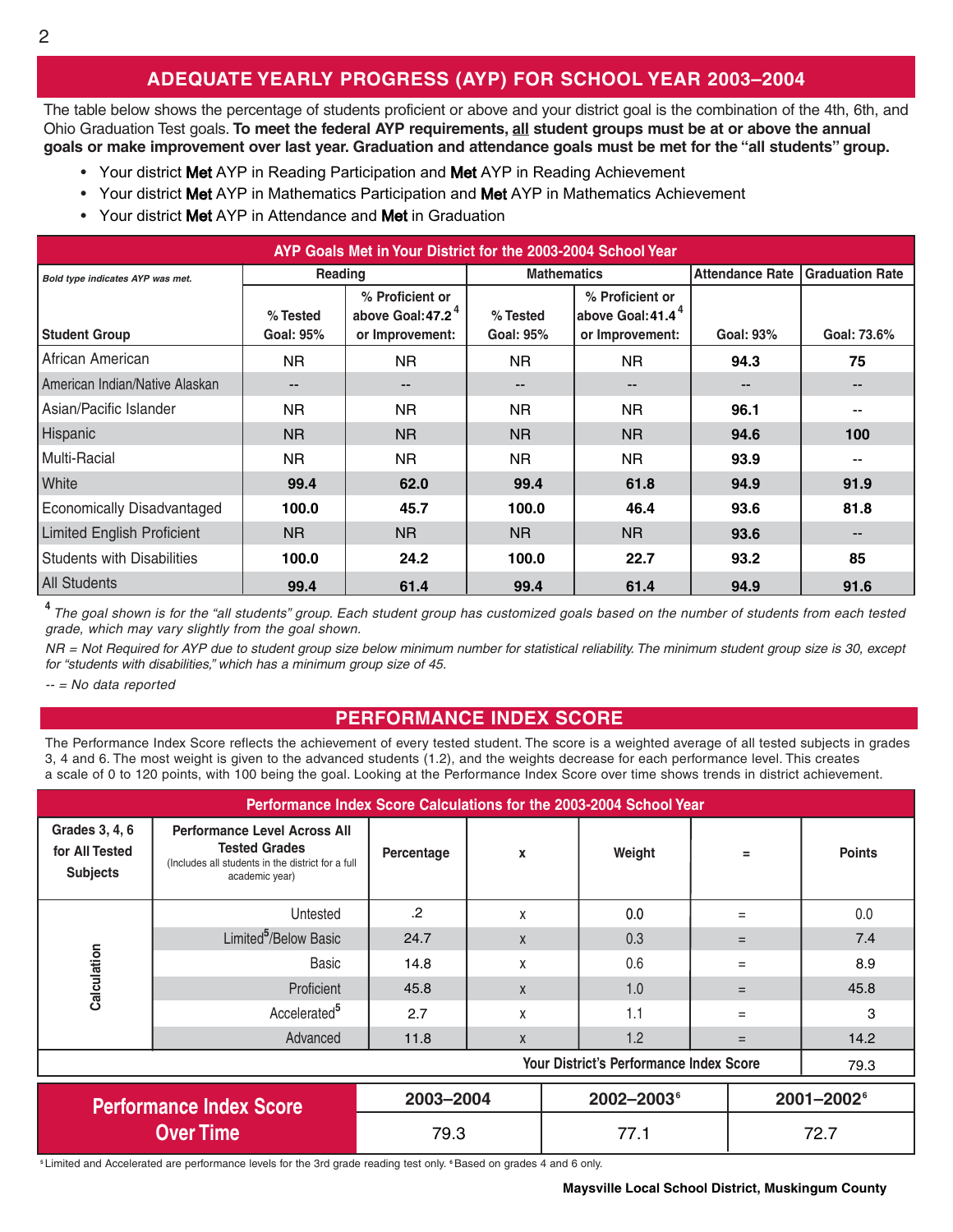### **ADEQUATE YEARLY PROGRESS (AYP) FOR SCHOOL YEAR 2003–2004**

The table below shows the percentage of students proficient or above and your district goal is the combination of the 4th, 6th, and Ohio Graduation Test goals. **To meet the federal AYP requirements, all student groups must be at or above the annual goals or make improvement over last year. Graduation and attendance goals must be met for the "all students" group.**

- Your district Met AYP in Reading Participation and Met AYP in Reading Achievement
- Your district Met AYP in Mathematics Participation and Met AYP in Mathematics Achievement
- Your district Met AYP in Attendance and Met in Graduation

| AYP Goals Met in Your District for the 2003-2004 School Year |                       |                                                                     |                                                                                              |                   |                          |                          |  |  |
|--------------------------------------------------------------|-----------------------|---------------------------------------------------------------------|----------------------------------------------------------------------------------------------|-------------------|--------------------------|--------------------------|--|--|
| Bold type indicates AYP was met.                             | Reading               |                                                                     | <b>Mathematics</b>                                                                           |                   | <b>Attendance Rate</b>   | <b>Graduation Rate</b>   |  |  |
| <b>Student Group</b>                                         | % Tested<br>Goal: 95% | % Proficient or<br>above Goal: 47.2 <sup>4</sup><br>or Improvement: | % Proficient or<br>above Goal: 41.4 <sup>4</sup><br>% Tested<br>Goal: 95%<br>or Improvement: |                   | Goal: 93%                | Goal: 73.6%              |  |  |
| African American                                             | NR.                   | NR.                                                                 | NR.                                                                                          | NR.               | 94.3                     | 75                       |  |  |
| American Indian/Native Alaskan                               | $- -$                 | $\qquad \qquad -$                                                   | $\qquad \qquad -$                                                                            | $\qquad \qquad -$ | $\overline{\phantom{a}}$ | $\overline{\phantom{a}}$ |  |  |
| Asian/Pacific Islander                                       | NR.                   | NR.                                                                 | NR.                                                                                          | NR.               | 96.1                     |                          |  |  |
| Hispanic                                                     | <b>NR</b>             | <b>NR</b>                                                           | <b>NR</b>                                                                                    | <b>NR</b>         | 94.6                     | 100                      |  |  |
| Multi-Racial                                                 | NR.                   | NR.                                                                 | NR.                                                                                          | <b>NR</b>         | 93.9                     |                          |  |  |
| White                                                        | 99.4                  | 62.0                                                                | 99.4                                                                                         | 61.8              | 94.9                     | 91.9                     |  |  |
| <b>Economically Disadvantaged</b>                            | 100.0                 | 45.7                                                                | 100.0                                                                                        | 46.4              | 93.6                     | 81.8                     |  |  |
| <b>Limited English Proficient</b>                            | <b>NR</b>             | N <sub>R</sub>                                                      | N <sub>R</sub>                                                                               | <b>NR</b>         | 93.6                     | $\sim$                   |  |  |
| <b>Students with Disabilities</b>                            | 100.0                 | 24.2                                                                | 100.0                                                                                        | 22.7              | 93.2                     | 85                       |  |  |
| <b>All Students</b>                                          | 99.4                  | 61.4                                                                | 99.4                                                                                         | 61.4              | 94.9                     | 91.6                     |  |  |

<sup>4</sup> The goal shown is for the "all students" group. Each student group has customized goals based on the number of students from each tested grade, which may vary slightly from the goal shown.

NR = Not Required for AYP due to student group size below minimum number for statistical reliability. The minimum student group size is 30, except for "students with disabilities," which has a minimum group size of 45.

-- = No data reported

#### **PERFORMANCE INDEX SCORE**

The Performance Index Score reflects the achievement of every tested student. The score is a weighted average of all tested subjects in grades 3, 4 and 6. The most weight is given to the advanced students (1.2), and the weights decrease for each performance level. This creates a scale of 0 to 120 points, with 100 being the goal. Looking at the Performance Index Score over time shows trends in district achievement.

| Performance Index Score Calculations for the 2003-2004 School Year |                                                                                                                                    |            |              |                        |     |                        |  |  |
|--------------------------------------------------------------------|------------------------------------------------------------------------------------------------------------------------------------|------------|--------------|------------------------|-----|------------------------|--|--|
| Grades 3, 4, 6<br>for All Tested<br><b>Subjects</b>                | <b>Performance Level Across All</b><br><b>Tested Grades</b><br>(Includes all students in the district for a full<br>academic year) | Percentage | X            | Weight                 | $=$ | <b>Points</b>          |  |  |
|                                                                    | Untested                                                                                                                           | .2         | X            | 0.0                    |     | 0.0                    |  |  |
|                                                                    | Limited <sup>5</sup> /Below Basic                                                                                                  | 24.7       | $\mathsf{X}$ | 0.3                    |     | 7.4                    |  |  |
| Calculation                                                        | Basic                                                                                                                              | 14.8       | X            | 0.6                    | $=$ | 8.9                    |  |  |
|                                                                    | Proficient                                                                                                                         | 45.8       | $\mathsf{x}$ | 1.0                    |     | 45.8                   |  |  |
|                                                                    | Accelerated <sup>5</sup>                                                                                                           | 2.7        | X            | 1.1                    | $=$ | 3                      |  |  |
|                                                                    | Advanced                                                                                                                           | 11.8       | X            | 1.2                    | $=$ | 14.2                   |  |  |
| <b>Your District's Performance Index Score</b><br>79.3             |                                                                                                                                    |            |              |                        |     |                        |  |  |
|                                                                    | <b>Performance Index Score</b>                                                                                                     | 2003-2004  |              | 2002-2003 <sup>6</sup> |     | 2001-2002 <sup>6</sup> |  |  |
| <b>Over Time</b>                                                   |                                                                                                                                    | 79.3       |              | 77.1                   |     | 72.7                   |  |  |

**<sup>5</sup>** Limited and Accelerated are performance levels for the 3rd grade reading test only. **<sup>6</sup>**Based on grades 4 and 6 only.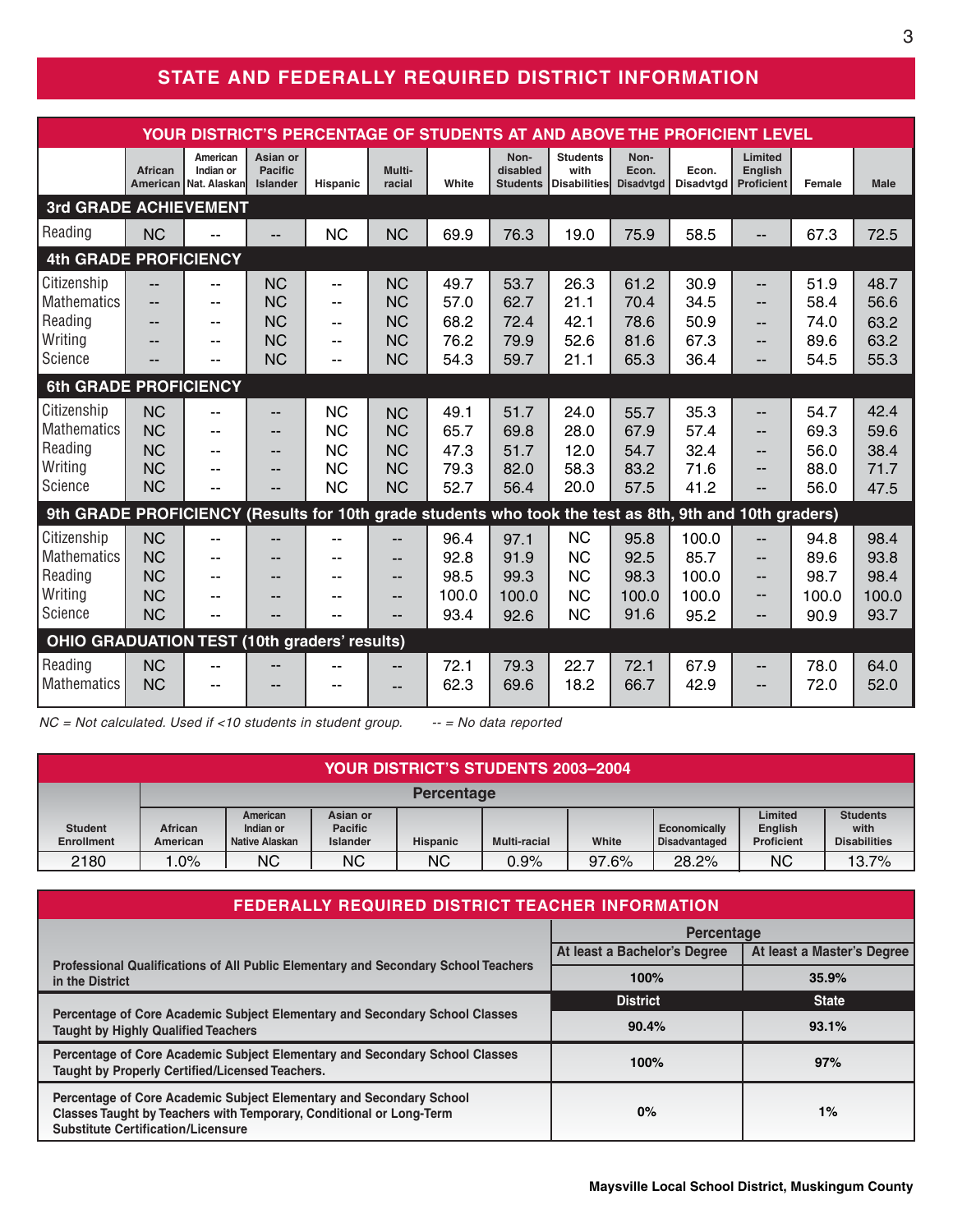### **STATE AND FEDERALLY REQUIRED DISTRICT INFORMATION**

| YOUR DISTRICT'S PERCENTAGE OF STUDENTS AT AND ABOVE THE PROFICIENT LEVEL                               |                                                               |                                                    |                                                               |                                                                                                          |                                                               |                                       |                                       |                                                               |                                       |                                         |                                                        |                                       |                                       |
|--------------------------------------------------------------------------------------------------------|---------------------------------------------------------------|----------------------------------------------------|---------------------------------------------------------------|----------------------------------------------------------------------------------------------------------|---------------------------------------------------------------|---------------------------------------|---------------------------------------|---------------------------------------------------------------|---------------------------------------|-----------------------------------------|--------------------------------------------------------|---------------------------------------|---------------------------------------|
|                                                                                                        | African<br>American                                           | American<br>Indian or<br>Nat. Alaskanl             | Asian or<br><b>Pacific</b><br><b>Islander</b>                 | <b>Hispanic</b>                                                                                          | Multi-<br>racial                                              | White                                 | Non-<br>disabled<br><b>Students</b>   | <b>Students</b><br>with<br><b>Disabilities</b>                | Non-<br>Econ.<br><b>Disadvtgd</b>     | Econ.<br><b>Disadvtgd</b>               | Limited<br><b>English</b><br><b>Proficient</b>         | Female                                | <b>Male</b>                           |
| <b>3rd GRADE ACHIEVEMENT</b>                                                                           |                                                               |                                                    |                                                               |                                                                                                          |                                                               |                                       |                                       |                                                               |                                       |                                         |                                                        |                                       |                                       |
| Reading                                                                                                | <b>NC</b>                                                     |                                                    | --                                                            | <b>NC</b>                                                                                                | <b>NC</b>                                                     | 69.9                                  | 76.3                                  | 19.0                                                          | 75.9                                  | 58.5                                    | --                                                     | 67.3                                  | 72.5                                  |
| <b>4th GRADE PROFICIENCY</b>                                                                           |                                                               |                                                    |                                                               |                                                                                                          |                                                               |                                       |                                       |                                                               |                                       |                                         |                                                        |                                       |                                       |
| Citizenship<br>Mathematics<br>Reading<br>Writing<br>Science                                            | --<br>--<br>--                                                | $-$<br>--<br>--<br>--<br>$-$                       | <b>NC</b><br><b>NC</b><br><b>NC</b><br><b>NC</b><br><b>NC</b> | $\overline{\phantom{a}}$<br>$\sim$ $\sim$<br>$\overline{\phantom{a}}$<br>$\overline{\phantom{a}}$<br>$-$ | <b>NC</b><br><b>NC</b><br><b>NC</b><br><b>NC</b><br><b>NC</b> | 49.7<br>57.0<br>68.2<br>76.2<br>54.3  | 53.7<br>62.7<br>72.4<br>79.9<br>59.7  | 26.3<br>21.1<br>42.1<br>52.6<br>21.1                          | 61.2<br>70.4<br>78.6<br>81.6<br>65.3  | 30.9<br>34.5<br>50.9<br>67.3<br>36.4    | --<br>$-$<br>$-$<br>$-$                                | 51.9<br>58.4<br>74.0<br>89.6<br>54.5  | 48.7<br>56.6<br>63.2<br>63.2<br>55.3  |
| <b>6th GRADE PROFICIENCY</b>                                                                           |                                                               |                                                    |                                                               |                                                                                                          |                                                               |                                       |                                       |                                                               |                                       |                                         |                                                        |                                       |                                       |
| Citizenship<br><b>Mathematics</b><br>Reading<br>Writing<br>Science                                     | <b>NC</b><br><b>NC</b><br><b>NC</b><br><b>NC</b><br><b>NC</b> | $-$<br>--<br>--<br>--<br>--                        | --<br>--<br>--<br>--                                          | <b>NC</b><br><b>NC</b><br><b>NC</b><br><b>NC</b><br><b>NC</b>                                            | <b>NC</b><br><b>NC</b><br><b>NC</b><br><b>NC</b><br><b>NC</b> | 49.1<br>65.7<br>47.3<br>79.3<br>52.7  | 51.7<br>69.8<br>51.7<br>82.0<br>56.4  | 24.0<br>28.0<br>12.0<br>58.3<br>20.0                          | 55.7<br>67.9<br>54.7<br>83.2<br>57.5  | 35.3<br>57.4<br>32.4<br>71.6<br>41.2    | $-$<br>--<br>$\qquad \qquad -$<br>--<br>$\overline{a}$ | 54.7<br>69.3<br>56.0<br>88.0<br>56.0  | 42.4<br>59.6<br>38.4<br>71.7<br>47.5  |
| 9th GRADE PROFICIENCY (Results for 10th grade students who took the test as 8th, 9th and 10th graders) |                                                               |                                                    |                                                               |                                                                                                          |                                                               |                                       |                                       |                                                               |                                       |                                         |                                                        |                                       |                                       |
| Citizenship<br><b>Mathematics</b><br>Reading<br>Writing<br>Science                                     | <b>NC</b><br><b>NC</b><br><b>NC</b><br><b>NC</b><br><b>NC</b> | $-$<br>--<br>$-$<br>$\overline{\phantom{a}}$<br>-- | --<br>--<br>--                                                | --<br>--<br>--<br>--                                                                                     | $-$<br>--<br>--<br>--                                         | 96.4<br>92.8<br>98.5<br>100.0<br>93.4 | 97.1<br>91.9<br>99.3<br>100.0<br>92.6 | <b>NC</b><br><b>NC</b><br><b>NC</b><br><b>NC</b><br><b>NC</b> | 95.8<br>92.5<br>98.3<br>100.0<br>91.6 | 100.0<br>85.7<br>100.0<br>100.0<br>95.2 | $-$<br>$-$<br>$-$<br>--<br>$\qquad \qquad -$           | 94.8<br>89.6<br>98.7<br>100.0<br>90.9 | 98.4<br>93.8<br>98.4<br>100.0<br>93.7 |
| <b>OHIO GRADUATION TEST (10th graders' results)</b>                                                    |                                                               |                                                    |                                                               |                                                                                                          |                                                               |                                       |                                       |                                                               |                                       |                                         |                                                        |                                       |                                       |
| Reading<br><b>Mathematics</b>                                                                          | <b>NC</b><br><b>NC</b>                                        | --<br>--                                           | --<br>--                                                      | --<br>--                                                                                                 | --                                                            | 72.1<br>62.3                          | 79.3<br>69.6                          | 22.7<br>18.2                                                  | 72.1<br>66.7                          | 67.9<br>42.9                            | $-$<br>$\overline{\phantom{a}}$                        | 78.0<br>72.0                          | 64.0<br>52.0                          |

 $NC = Not calculated.$  Used if <10 students in student group.  $-- = No$  data reported

| <b>YOUR DISTRICT'S STUDENTS 2003-2004</b> |                     |                                         |                                               |                   |                     |       |                                      |                                                |                                                |
|-------------------------------------------|---------------------|-----------------------------------------|-----------------------------------------------|-------------------|---------------------|-------|--------------------------------------|------------------------------------------------|------------------------------------------------|
|                                           |                     |                                         |                                               | <b>Percentage</b> |                     |       |                                      |                                                |                                                |
| <b>Student</b><br><b>Enrollment</b>       | African<br>American | American<br>Indian or<br>Native Alaskan | Asian or<br><b>Pacific</b><br><b>Islander</b> | <b>Hispanic</b>   | <b>Multi-racial</b> | White | Economically<br><b>Disadvantaged</b> | Limited<br><b>English</b><br><b>Proficient</b> | <b>Students</b><br>with<br><b>Disabilities</b> |
| 2180                                      | .0%                 | <b>NC</b>                               | <b>NC</b>                                     | <b>NC</b>         | 0.9%                | 97.6% | 28.2%                                | ΝC                                             | 13.7%                                          |

| <b>FEDERALLY REQUIRED DISTRICT TEACHER INFORMATION</b>                                                                                                                                  |                              |                            |  |  |  |  |  |
|-----------------------------------------------------------------------------------------------------------------------------------------------------------------------------------------|------------------------------|----------------------------|--|--|--|--|--|
|                                                                                                                                                                                         | <b>Percentage</b>            |                            |  |  |  |  |  |
| Professional Qualifications of All Public Elementary and Secondary School Teachers                                                                                                      | At least a Bachelor's Degree | At least a Master's Degree |  |  |  |  |  |
| in the District                                                                                                                                                                         | 100%                         | 35.9%                      |  |  |  |  |  |
|                                                                                                                                                                                         | <b>District</b>              | <b>State</b>               |  |  |  |  |  |
| Percentage of Core Academic Subject Elementary and Secondary School Classes<br><b>Taught by Highly Qualified Teachers</b>                                                               | 90.4%                        | 93.1%                      |  |  |  |  |  |
| Percentage of Core Academic Subject Elementary and Secondary School Classes<br>Taught by Properly Certified/Licensed Teachers.                                                          | 100%                         | 97%                        |  |  |  |  |  |
| Percentage of Core Academic Subject Elementary and Secondary School<br>Classes Taught by Teachers with Temporary, Conditional or Long-Term<br><b>Substitute Certification/Licensure</b> | $0\%$                        | 1%                         |  |  |  |  |  |